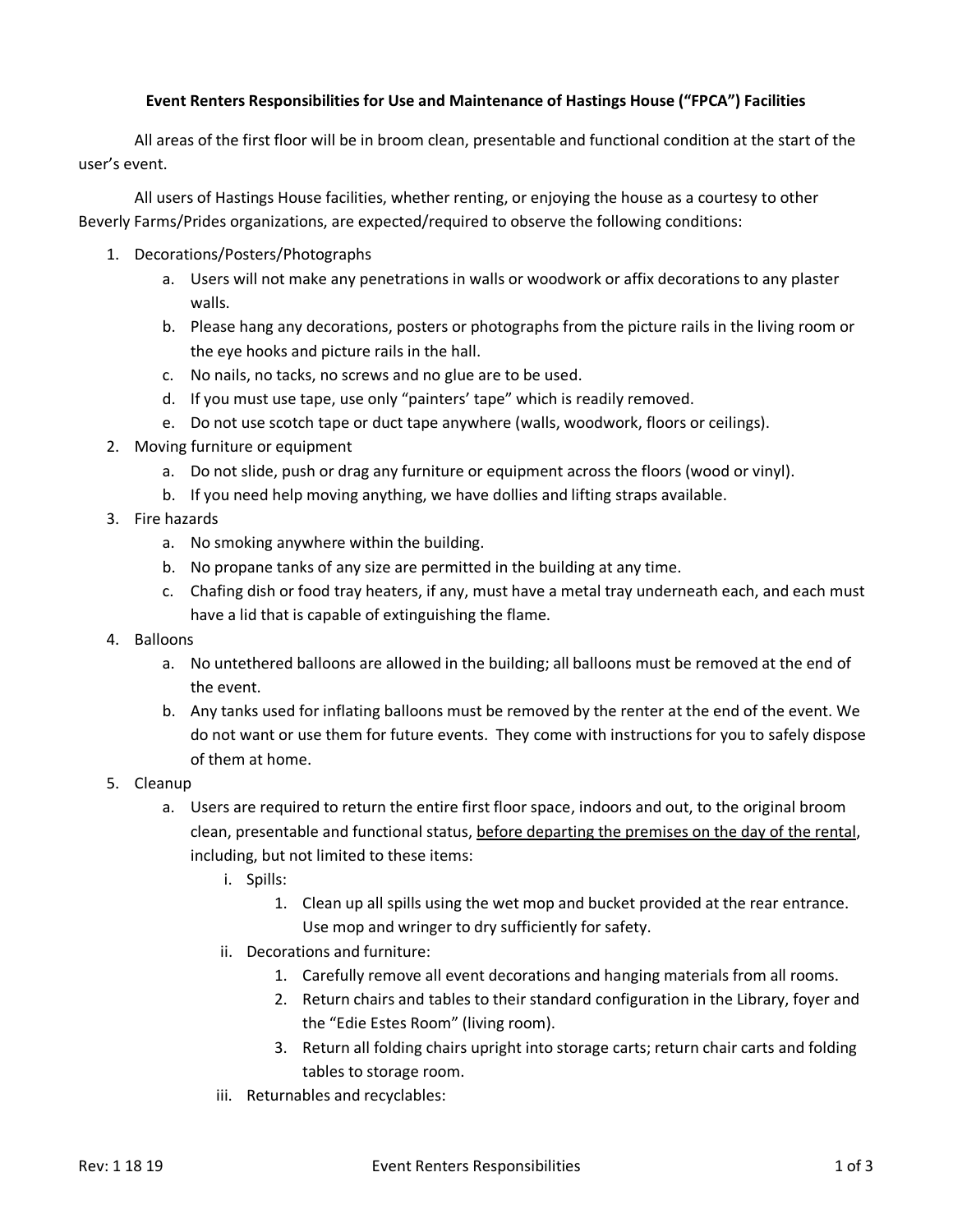## **Event Renters Responsibilities for Use and Maintenance of Hastings House ("FPCA") Facilities**

All areas of the first floor will be in broom clean, presentable and functional condition at the start of the user's event.

All users of Hastings House facilities, whether renting, or enjoying the house as a courtesy to other Beverly Farms/Prides organizations, are expected/required to observe the following conditions:

- 1. Decorations/Posters/Photographs
	- a. Users will not make any penetrations in walls or woodwork or affix decorations to any plaster walls.
	- b. Please hang any decorations, posters or photographs from the picture rails in the living room or the eye hooks and picture rails in the hall.
	- c. No nails, no tacks, no screws and no glue are to be used.
	- d. If you must use tape, use only "painters' tape" which is readily removed.
	- e. Do not use scotch tape or duct tape anywhere (walls, woodwork, floors or ceilings).
- 2. Moving furniture or equipment
	- a. Do not slide, push or drag any furniture or equipment across the floors (wood or vinyl).
	- b. If you need help moving anything, we have dollies and lifting straps available.
- 3. Fire hazards
	- a. No smoking anywhere within the building.
	- b. No propane tanks of any size are permitted in the building at any time.
	- c. Chafing dish or food tray heaters, if any, must have a metal tray underneath each, and each must have a lid that is capable of extinguishing the flame.
- 4. Balloons
	- a. No untethered balloons are allowed in the building; all balloons must be removed at the end of the event.
	- b. Any tanks used for inflating balloons must be removed by the renter at the end of the event. We do not want or use them for future events. They come with instructions for you to safely dispose of them at home.
- 5. Cleanup
	- a. Users are required to return the entire first floor space, indoors and out, to the original broom clean, presentable and functional status, before departing the premises on the day of the rental, including, but not limited to these items:
		- i. Spills:
			- 1. Clean up all spills using the wet mop and bucket provided at the rear entrance. Use mop and wringer to dry sufficiently for safety.
		- ii. Decorations and furniture:
			- 1. Carefully remove all event decorations and hanging materials from all rooms.
			- 2. Return chairs and tables to their standard configuration in the Library, foyer and the "Edie Estes Room" (living room).
			- 3. Return all folding chairs upright into storage carts; return chair carts and folding tables to storage room.
		- iii. Returnables and recyclables: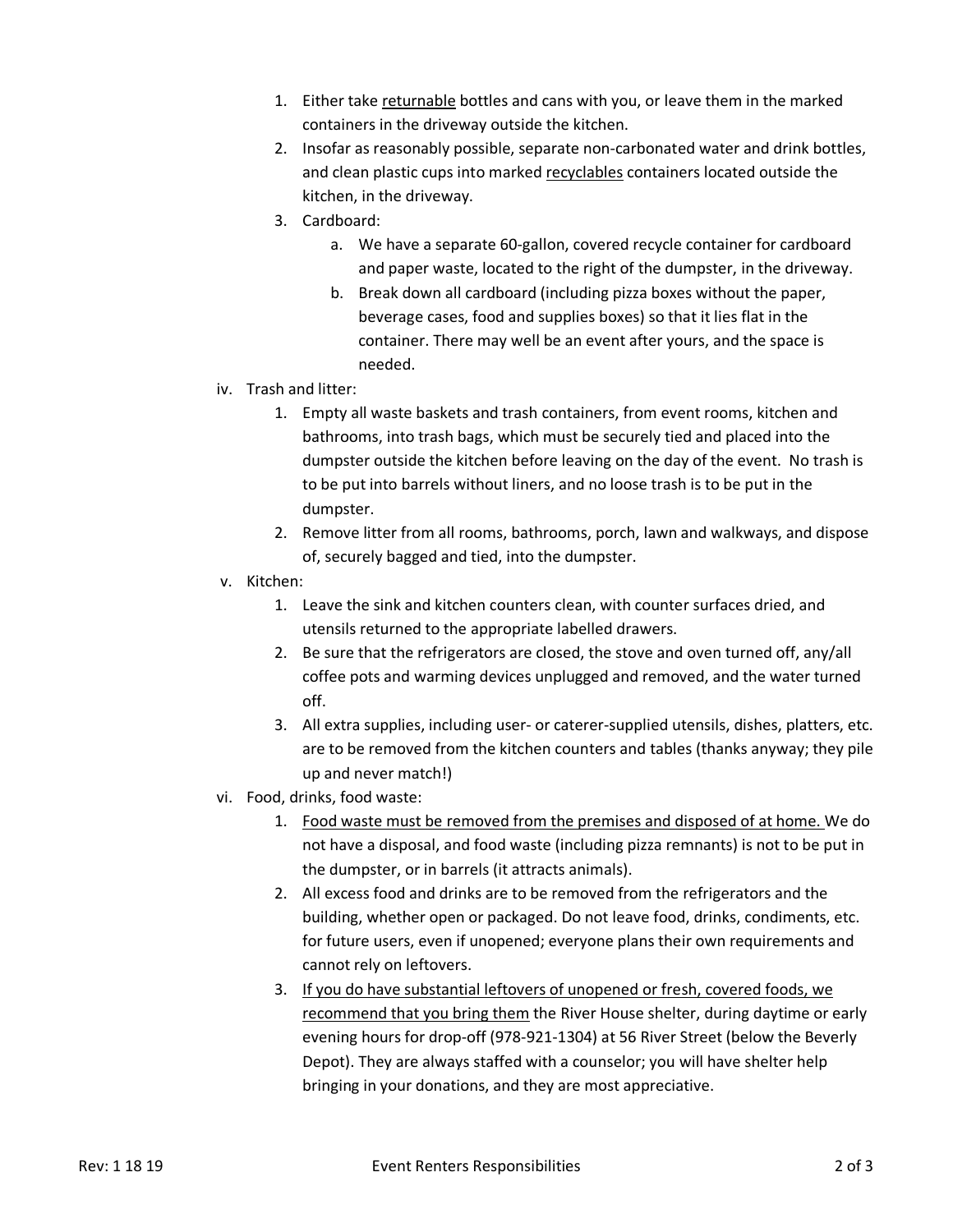- 1. Either take returnable bottles and cans with you, or leave them in the marked containers in the driveway outside the kitchen.
- 2. Insofar as reasonably possible, separate non-carbonated water and drink bottles, and clean plastic cups into marked recyclables containers located outside the kitchen, in the driveway.
- 3. Cardboard:
	- a. We have a separate 60-gallon, covered recycle container for cardboard and paper waste, located to the right of the dumpster, in the driveway.
	- b. Break down all cardboard (including pizza boxes without the paper, beverage cases, food and supplies boxes) so that it lies flat in the container. There may well be an event after yours, and the space is needed.
- iv. Trash and litter:
	- 1. Empty all waste baskets and trash containers, from event rooms, kitchen and bathrooms, into trash bags, which must be securely tied and placed into the dumpster outside the kitchen before leaving on the day of the event. No trash is to be put into barrels without liners, and no loose trash is to be put in the dumpster.
	- 2. Remove litter from all rooms, bathrooms, porch, lawn and walkways, and dispose of, securely bagged and tied, into the dumpster.
- v. Kitchen:
	- 1. Leave the sink and kitchen counters clean, with counter surfaces dried, and utensils returned to the appropriate labelled drawers.
	- 2. Be sure that the refrigerators are closed, the stove and oven turned off, any/all coffee pots and warming devices unplugged and removed, and the water turned off.
	- 3. All extra supplies, including user- or caterer-supplied utensils, dishes, platters, etc. are to be removed from the kitchen counters and tables (thanks anyway; they pile up and never match!)
- vi. Food, drinks, food waste:
	- 1. Food waste must be removed from the premises and disposed of at home. We do not have a disposal, and food waste (including pizza remnants) is not to be put in the dumpster, or in barrels (it attracts animals).
	- 2. All excess food and drinks are to be removed from the refrigerators and the building, whether open or packaged. Do not leave food, drinks, condiments, etc. for future users, even if unopened; everyone plans their own requirements and cannot rely on leftovers.
	- 3. If you do have substantial leftovers of unopened or fresh, covered foods, we recommend that you bring them the River House shelter, during daytime or early evening hours for drop-off (978-921-1304) at 56 River Street (below the Beverly Depot). They are always staffed with a counselor; you will have shelter help bringing in your donations, and they are most appreciative.